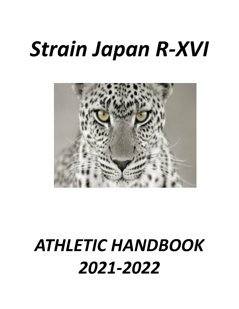# *Strain Japan R-XVI*



## *ATHLETIC HANDBOOK 2021-2022*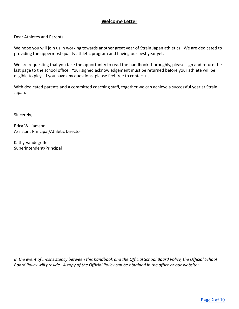#### **Welcome Letter**

<span id="page-1-0"></span>Dear Athletes and Parents:

We hope you will join us in working towards another great year of Strain Japan athletics. We are dedicated to providing the uppermost quality athletic program and having our best year yet.

We are requesting that you take the opportunity to read the handbook thoroughly, please sign and return the last page to the school office. Your signed acknowledgement must be returned before your athlete will be eligible to play. If you have any questions, please feel free to contact us.

With dedicated parents and a committed coaching staff, together we can achieve a successful year at Strain Japan.

Sincerely,

Erica Williamson Assistant Principal/Athletic Director

Kathy Vandegriffe Superintendent/Principal

*In the event of inconsistency between this handbook and the Official School Board Policy, the Official School Board Policy will preside. A copy of the Official Policy can be obtained in the office or our website:*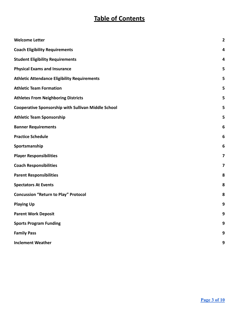### **Table of Contents**

<span id="page-2-0"></span>

| <b>Welcome Letter</b>                                      | $\overline{\mathbf{2}}$ |
|------------------------------------------------------------|-------------------------|
| <b>Coach Eligibility Requirements</b>                      | 4                       |
| <b>Student Eligibility Requirements</b>                    | 4                       |
| <b>Physical Exams and Insurance</b>                        | 5                       |
| <b>Athletic Attendance Eligibility Requirements</b>        | 5                       |
| <b>Athletic Team Formation</b>                             | 5                       |
| <b>Athletes From Neighboring Districts</b>                 | 5                       |
| <b>Cooperative Sponsorship with Sullivan Middle School</b> | 5                       |
| <b>Athletic Team Sponsorship</b>                           | 5                       |
| <b>Banner Requirements</b>                                 | 6                       |
| <b>Practice Schedule</b>                                   | 6                       |
| Sportsmanship                                              | 6                       |
| <b>Player Responsibilities</b>                             | 7                       |
| <b>Coach Responsibilities</b>                              | 7                       |
| <b>Parent Responsibilities</b>                             | 8                       |
| <b>Spectators At Events</b>                                | 8                       |
| <b>Concussion "Return to Play" Protocol</b>                | 8                       |
| <b>Playing Up</b>                                          | 9                       |
| <b>Parent Work Deposit</b>                                 | 9                       |
| <b>Sports Program Funding</b>                              | 9                       |
| <b>Family Pass</b>                                         | 9                       |
| <b>Inclement Weather</b>                                   | 9                       |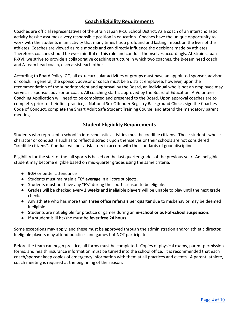#### **Coach Eligibility Requirements**

Coaches are official representatives of the Strain Japan R-16 School District. As a coach of an interscholastic activity he/she assumes a very responsible position in education. Coaches have the unique opportunity to work with the students in an activity that many times has a profound and lasting impact on the lives of the athletes. Coaches are viewed as role models and can directly influence the decisions made by athletes. Therefore, coaches should be ever mindful of this role and conduct themselves accordingly. At Strain-Japan R-XVI, we strive to provide a collaborative coaching structure in which two coaches, the B-team head coach and A-team head coach, each assist each other

According to Board Policy IGD, all extracurricular activities or groups must have an appointed sponsor, advisor or coach. In general, the sponsor, advisor or coach must be a district employee; however, upon the recommendation of the superintendent and approval by the Board, an individual who is not an employee may serve as a sponsor, advisor or coach. All coaching staff is approved by the Board of Education. A Volunteer Coaching Application will need to be completed and presented to the Board. Upon approval coaches are to complete, prior to their first practice, a National Sex Offender Registry Background Check, sign the Coaches Code of Conduct, complete the Smart Adult Safe Student Training Course, and attend the mandatory parent meeting.

#### **Student Eligibility Requirements**

<span id="page-3-0"></span>Students who represent a school in interscholastic activities must be credible citizens. Those students whose character or conduct is such as to reflect discredit upon themselves or their schools are not considered "credible citizens". Conduct will be satisfactory in accord with the standards of good discipline.

Eligibility for the start of the fall sports is based on the last quarter grades of the previous year. An ineligible student may become eligible based on mid-quarter grades using the same criteria.

- **90%** or better attendance
- Students must maintain a **"C" average** in all core subjects.
- Students must not have any "F's" during the sports season to be eligible.
- Grades will be checked every **2 weeks** and ineligible players will be unable to play until the next grade check.
- Any athlete who has more than **three office referrals per quarter** due to misbehavior may be deemed ineligible.
- Students are not eligible for practice or games during an **in-school or out-of-school suspension**.
- If a student is ill he/she must be **fever free 24 hours**

Some exceptions may apply, and these must be approved through the administration and/or athletic director. Ineligible players may attend practices and games but NOT participate.

Before the team can begin practice, all forms must be completed. Copies of physical exams, parent permission forms, and health insurance information must be turned into the school office. It is recommended that each coach/sponsor keep copies of emergency information with them at all practices and events. A parent, athlete, coach meeting is required at the beginning of the season.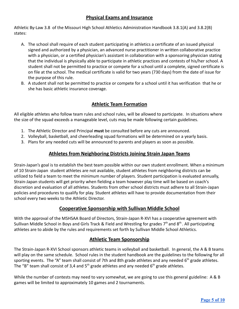#### **Physical Exams and Insurance**

<span id="page-4-0"></span>Athletic By-Law 3.8 of the Missouri High School Athletics Administration Handbook 3.8.1(A) and 3.8.2(B) states:

- A. The school shall require of each student participating in athletics a certificate of an issued physical signed and authorized by a physician, an advanced nurse practitioner in written collaborative practice with a physician, or a certified physician's assistant in collaboration with a sponsoring physician stating that the individual is physically able to participate in athletic practices and contests of his/her school. A student shall not be permitted to practice or compete for a school until a complete, signed certificate is on file at the school. The medical certificate is valid for two years (730 days) from the date of issue for the purpose of this rule.
- B. A student shall not be permitted to practice or compete for a school until it has verification that he or she has basic athletic insurance coverage.

#### **Athletic Team Formation**

<span id="page-4-1"></span>All eligible athletes who follow team rules and school rules, will be allowed to participate. In situations where the size of the squad exceeds a manageable level, cuts may be made following certain guidelines.

- 1. The Athletic Director and Principal **must** be consulted before any cuts are announced.
- 2. Volleyball, basketball, and cheerleading squad formations will be determined on a yearly basis.
- 3. Plans for any needed cuts will be announced to parents and players as soon as possible.

#### **Athletes from Neighboring Districts Joining Strain Japan Teams**

Strain-Japan's goal is to establish the best team possible within our own student enrollment. When a minimum of 10 Strain-Japan student athletes are not available, student athletes from neighboring districts can be utilized to field a team to meet the minimum number of players. Student participation is evaluated annually, Strain-Japan students will get priority when fielding a team however play time will be based on coach's discretion and evaluation of all athletes. Students from other school districts must adhere to all Strain-Japan policies and procedures to qualify for play. Student athletes will have to provide documentation from their school every two weeks to the Athletic Director.

#### **Cooperative Sponsorship with Sullivan Middle School**

<span id="page-4-2"></span>With the approval of the MSHSAA Board of Directors, Strain-Japan R-XVI has a cooperative agreement with Sullivan Middle School in Boys and Girls Track & Field and Wrestling for grades 7<sup>th</sup> and 8<sup>th</sup>. All participating athletes are to abide by the rules and requirements set forth by Sullivan Middle School Athletics.

#### **Athletic Team Sponsorship**

<span id="page-4-3"></span>The Strain-Japan R-XVI School sponsors athletic teams in volleyball and basketball. In general, the A & B teams will play on the same schedule. School rules in the student handbook are the guidelines to the following for all sporting events. The "A" team shall consist of 7th and 8th grade athletes and any needed  $6<sup>th</sup>$  grade athletes. The "B" team shall consist of 3,4 and  $5<sup>th</sup>$  grade athletes and any needed  $6<sup>th</sup>$  grade athletes.

While the number of contests may need to vary somewhat, we are going to use this general guideline: A & B games will be limited to approximately 10 games and 2 tournaments.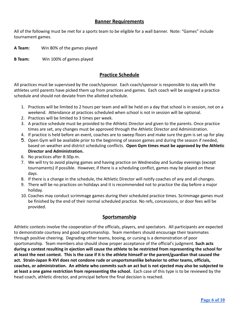#### **Banner Requirements**

<span id="page-5-0"></span>All of the following must be met for a sports team to be eligible for a wall banner. Note: "Games" include tournament games.

**A Team:** Win 80% of the games played

<span id="page-5-1"></span>**B Team:** Win 100% of games played

#### **Practice Schedule**

All practices must be supervised by the coach/sponsor. Each coach/sponsor is responsible to stay with the athletes until parents have picked them up from practices and games. Each coach will be assigned a practice schedule and should not deviate from the allotted schedule.

- 1. Practices will be limited to 2 hours per team and will be held on a day that school is in session, not on a weekend. Attendance at practices scheduled when school is not in session will be optional.
- 2. Practices will be limited to 3 times per week.
- 3. A practice schedule must be provided to the Athletic Director and given to the parents. Once practice times are set, any changes must be approved through the Athletic Director and Administration.
- 4. If practice is held before an event, coaches are to sweep floors and make sure the gym is set up for play.
- 5. Open Gym will be available prior to the beginning of season games and during the season if needed, based on weather and district scheduling conflicts. **Open Gym times must be approved by the Athletic Director and Administration.**
- 6. No practices after 8:30p.m.
- 7. We will try to avoid playing games and having practice on Wednesday and Sunday evenings (except tournaments) if possible. However, if there is a scheduling conflict, games may be played on these days.
- 8. If there is a change in the schedule, the Athletic Director will notify coaches of any and all changes.
- 9. There will be no practices on holidays and it is recommended not to practice the day before a major holiday.
- 10. Coaches may conduct scrimmage games during their scheduled practice times. Scrimmage games must be finished by the end of their normal scheduled practice. No refs, concessions, or door fees will be provided.

#### **Sportsmanship**

<span id="page-5-2"></span>Athletic contests involve the cooperation of the officials, players, and spectators. All participants are expected to demonstrate courtesy and good sportsmanship. Team members should encourage their teammates through positive cheering. Degrading other teams, booing, or cursing is a demonstration of poor sportsmanship. Team members also should show proper acceptance of the official's judgment. **Such acts during a contest resulting in ejection will cause the athlete to be restricted from representing the school for at least the next contest. This is the case if it is the athlete himself or the parent/guardian that caused the act. Strain-Japan R-XVI does not condone rude or unsportsmanlike behavior to other teams, officials, coaches, or administration. An athlete who commits such an act but is not ejected may also be subjected to at least a one game restriction from representing the school.** Each case of this type is to be reviewed by the head coach, athletic director, and principal before the final decision is reached.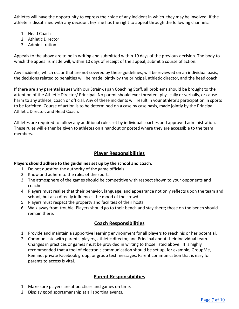Athletes will have the opportunity to express their side of any incident in which they may be involved. If the athlete is dissatisfied with any decision, he/ she has the right to appeal through the following channels:

- 1. Head Coach
- 2. Athletic Director
- 3. Administration

Appeals to the above are to be in writing and submitted within 10 days of the previous decision. The body to which the appeal is made will, within 10 days of receipt of the appeal, submit a course of action.

Any incidents, which occur that are not covered by these guidelines, will be reviewed on an individual basis, the decisions related to penalties will be made jointly by the principal, athletic director, and the head coach.

If there are any parental issues with our Strain-Japan Coaching Staff, all problems should be brought to the attention of the Athletic Director/ Principal. No parent should ever threaten, physically or verbally, or cause harm to any athlete, coach or official. Any of these incidents will result in your athlete's participation in sports to be forfeited. Course of action is to be determined on a case by case basis, made jointly by the Principal, Athletic Director, and Head Coach.

Athletes are required to follow any additional rules set by individual coaches and approved administration. These rules will either be given to athletes on a handout or posted where they are accessible to the team members.

#### **Player Responsibilities**

#### <span id="page-6-0"></span>**Players should adhere to the guidelines set up by the school and coach**.

- 1. Do not question the authority of the game officials.
- 2. Know and adhere to the rules of the sport.
- 3. The atmosphere of the games should be competitive with respect shown to your opponents and coaches.
- 4. Players must realize that their behavior, language, and appearance not only reflects upon the team and school, but also directly influences the mood of the crowd.
- 5. Players must respect the property and facilities of their hosts.
- <span id="page-6-1"></span>6. Walk away from trouble. Players should go to their bench and stay there; those on the bench should remain there.

#### **Coach Responsibilities**

- 1. Provide and maintain a supportive learning environment for all players to reach his or her potential.
- 2. Communicate with parents, players, athletic director, and Principal about their individual team. Changes in practices or games must be provided in writing to those listed above. It is highly recommended that a tool of electronic communication should be set up, for example, GroupMe, Remind, private Facebook group, or group text messages. Parent communication that is easy for parents to access is vital.

#### **Parent Responsibilities**

- <span id="page-6-2"></span>1. Make sure players are at practices and games on time.
- 2. Display good sportsmanship at all sporting events.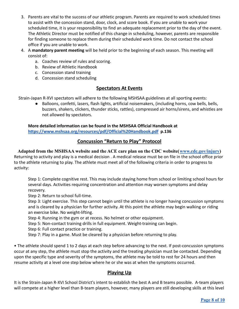- 3. Parents are vital to the success of our athletic program. Parents are required to work scheduled times to assist with the concession stand, door, clock, and score book. If you are unable to work your scheduled time, it is your responsibility to find an adequate replacement prior to the day of the event. The Athletic Director must be notified of this change in scheduling, however, parents are responsible for finding someone to replace them during their scheduled work time. Do not contact the school office if you are unable to work.
- 4. A **mandatory parent meeting** will be held prior to the beginning of each season. This meeting will consist of:
	- a. Coaches review of rules and scoring.
	- b. Review of Athletic Handbook
	- c. Concession stand training
	- d. Concession stand scheduling

#### **Spectators At Events**

<span id="page-7-0"></span>Strain-Japan R-XVI spectators will adhere to the following MSHSAA guidelines at all sporting events:

● Balloons, confetti, lasers, flash lights, artificial noisemakers, (including horns, cow bells, bells, buzzers, shakers, clickers, thunder sticks, rattles), compressed air horns/sirens, and whistles are not allowed by spectators.

#### **More detailed information can be found in the MSHSAA Official Handbook at <https://www.mshsaa.org/resources/pdf/Official%20Handbook.pdf> p.136**

#### **Concussion "Return to Play" Protocol**

<span id="page-7-1"></span>**Adapted from the MSHSAA website and the ACE care plan on the CDC website([www.cdc.gov/injury\)](http://www.cdc.gov/injury)** Returning to activity and play is a medical decision . A medical release must be on file in the school office prior to the athlete returning to play. The athlete must meet all of the following criteria in order to progress to activity:

Step 1: Complete cognitive rest. This may include staying home from school or limiting school hours for several days. Activities requiring concentration and attention may worsen symptoms and delay recovery.

Step 2: Return to school full-time.

Step 3: Light exercise. This step cannot begin until the athlete is no longer having concussion symptoms and is cleared by a physician for further activity. At this point the athlete may begin walking or riding an exercise bike. No weight-lifting.

Step 4: Running in the gym or at recess. No helmet or other equipment.

Step 5: Non-contact training drills in full equipment. Weight-training can begin.

Step 6: Full contact practice or training.

Step 7: Play in a game. Must be cleared by a physician before returning to play.

• The athlete should spend 1 to 2 days at each step before advancing to the next. If post-concussion symptoms occur at any step, the athlete must stop the activity and the treating physician must be contacted. Depending upon the specific type and severity of the symptoms, the athlete may be told to rest for 24 hours and then resume activity at a level one step below where he or she was at when the symptoms occurred.

#### **Playing Up**

<span id="page-7-2"></span>It is the Strain-Japan R-XVI School District's intent to establish the best A and B teams possible. A-team players will compete at a higher level than B-team players, however, many players are still developing skills at this level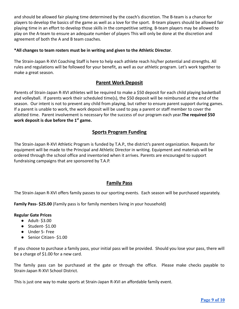and should be allowed fair playing time determined by the coach's discretion. The B-team is a chance for players to develop the basics of the game as well as a love for the sport. B-team players should be allowed fair playing time in an effort to develop those skills in the competitive setting. B-team players may be allowed to play on the A-team to ensure an adequate number of players This will only be done at the discretion and agreement of both the A and B team coaches.

#### **\*All changes to team rosters must be in writing and given to the Athletic Director**.

The Strain-Japan R-XVI Coaching Staff is here to help each athlete reach his/her potential and strengths. All rules and regulations will be followed for your benefit, as well as our athletic program. Let's work together to make a great season.

#### **Parent Work Deposit**

<span id="page-8-0"></span>Parents of Strain-Japan R-XVI athletes will be required to make a \$50 deposit for each child playing basketball and volleyball. If parents work their scheduled time(s), the \$50 deposit will be reimbursed at the end of the season. Our intent is not to prevent any child from playing, but rather to ensure parent support during games. If a parent is unable to work, the work deposit will be used to pay a parent or staff member to cover the allotted time. Parent involvement is necessary for the success of our program each year.**The required \$50 work deposit is due before the 1st game.**

#### **Sports Program Funding**

The Strain-Japan R-XVI Athletic Program is funded by T.A.P., the district's parent organization. Requests for equipment will be made to the Principal and Athletic Director in writing. Equipment and materials will be ordered through the school office and inventoried when it arrives. Parents are encouraged to support fundraising campaigns that are sponsored by T.A.P.

#### **Family Pass**

<span id="page-8-1"></span>The Strain-Japan R-XVI offers family passes to our sporting events. Each season will be purchased separately.

**Family Pass- \$25.00** (Family pass is for family members living in your household)

#### **Regular Gate Prices**

- Adult- \$3.00
- Student- \$1.00
- Under 5- Free
- Senior Citizen- \$1.00

If you choose to purchase a family pass, your initial pass will be provided. Should you lose your pass, there will be a charge of \$1.00 for a new card.

The family pass can be purchased at the gate or through the office. Please make checks payable to Strain-Japan R-XVI School District.

This is just one way to make sports at Strain-Japan R-XVI an affordable family event.